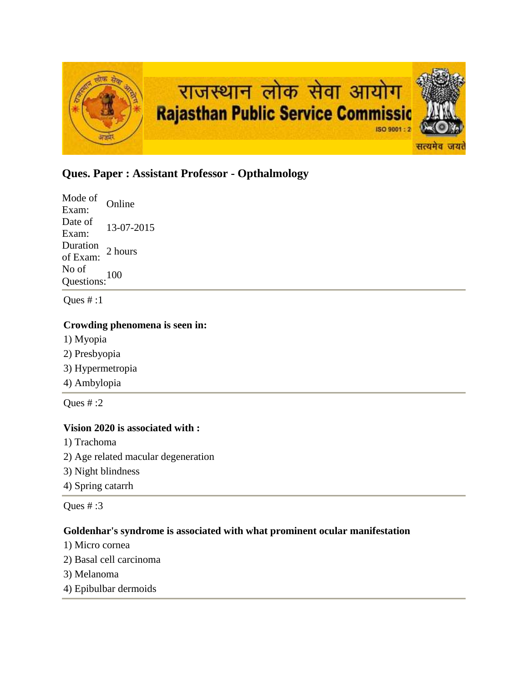

# **Ques. Paper : Assistant Professor - Opthalmology**

Mode of Exam: Online Date of Exam: 13-07-2015 Duration<br>of Exam: 2 hours No of Questions:<sup>100</sup>

Ques  $# : 1$ 

## **Crowding phenomena is seen in:**

- 1) Myopia
- 2) Presbyopia
- 3) Hypermetropia
- 4) Ambylopia

Ques # :2

## **Vision 2020 is associated with :**

- 1) Trachoma
- 2) Age related macular degeneration
- 3) Night blindness
- 4) Spring catarrh

Ques # :3

## **Goldenhar's syndrome is associated with what prominent ocular manifestation**

- 1) Micro cornea
- 2) Basal cell carcinoma
- 3) Melanoma
- 4) Epibulbar dermoids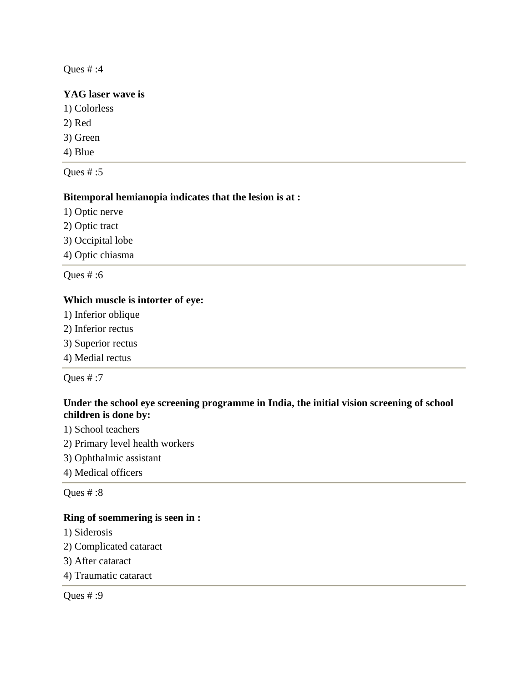## **YAG laser wave is**

- 1) Colorless
- 2) Red
- 3) Green
- 4) Blue

Ques  $# : 5$ 

## **Bitemporal hemianopia indicates that the lesion is at :**

- 1) Optic nerve
- 2) Optic tract
- 3) Occipital lobe
- 4) Optic chiasma

Ques # :6

## **Which muscle is intorter of eye:**

- 1) Inferior oblique
- 2) Inferior rectus
- 3) Superior rectus
- 4) Medial rectus

Ques # :7

## **Under the school eye screening programme in India, the initial vision screening of school children is done by:**

- 1) School teachers
- 2) Primary level health workers
- 3) Ophthalmic assistant
- 4) Medical officers

Ques # :8

#### **Ring of soemmering is seen in :**

- 1) Siderosis
- 2) Complicated cataract
- 3) After cataract
- 4) Traumatic cataract

Ques # :9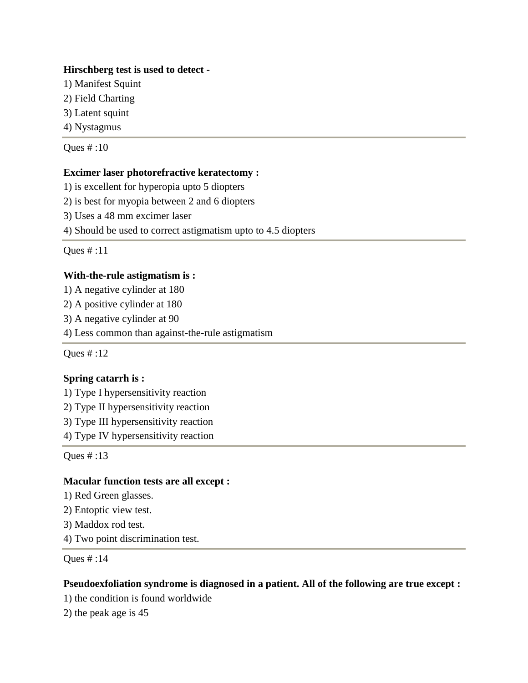## **Hirschberg test is used to detect -**

- 1) Manifest Squint
- 2) Field Charting
- 3) Latent squint
- 4) Nystagmus

Ques # :10

## **Excimer laser photorefractive keratectomy :**

1) is excellent for hyperopia upto 5 diopters

2) is best for myopia between 2 and 6 diopters

3) Uses a 48 mm excimer laser

4) Should be used to correct astigmatism upto to 4.5 diopters

Ques # :11

## **With-the-rule astigmatism is :**

1) A negative cylinder at 180

2) A positive cylinder at 180

3) A negative cylinder at 90

4) Less common than against-the-rule astigmatism

Ques # :12

## **Spring catarrh is :**

1) Type I hypersensitivity reaction

2) Type II hypersensitivity reaction

3) Type III hypersensitivity reaction

4) Type IV hypersensitivity reaction

Ques # :13

## **Macular function tests are all except :**

1) Red Green glasses.

2) Entoptic view test.

3) Maddox rod test.

4) Two point discrimination test.

Ques # :14

## **Pseudoexfoliation syndrome is diagnosed in a patient. All of the following are true except :**

1) the condition is found worldwide

2) the peak age is 45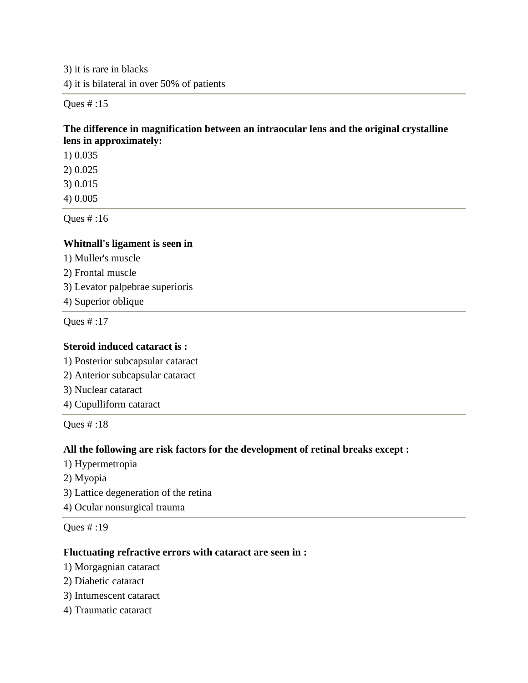3) it is rare in blacks 4) it is bilateral in over 50% of patients

Ques # :15

## **The difference in magnification between an intraocular lens and the original crystalline lens in approximately:**

1) 0.035

2) 0.025

3) 0.015

4) 0.005

Ques # :16

## **Whitnall's ligament is seen in**

- 1) Muller's muscle
- 2) Frontal muscle
- 3) Levator palpebrae superioris
- 4) Superior oblique

Ques # :17

## **Steroid induced cataract is :**

1) Posterior subcapsular cataract

- 2) Anterior subcapsular cataract
- 3) Nuclear cataract
- 4) Cupulliform cataract

Ques # :18

## **All the following are risk factors for the development of retinal breaks except :**

- 1) Hypermetropia
- 2) Myopia
- 3) Lattice degeneration of the retina
- 4) Ocular nonsurgical trauma

Ques # :19

#### **Fluctuating refractive errors with cataract are seen in :**

- 1) Morgagnian cataract
- 2) Diabetic cataract
- 3) Intumescent cataract
- 4) Traumatic cataract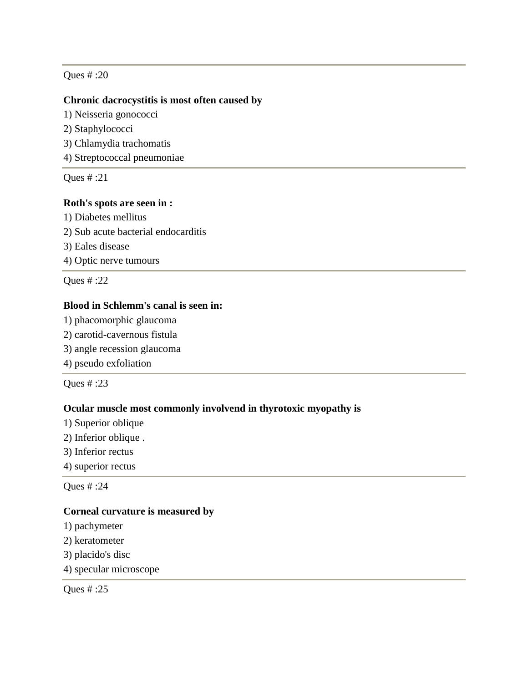#### **Chronic dacrocystitis is most often caused by**

1) Neisseria gonococci

- 2) Staphylococci
- 3) Chlamydia trachomatis
- 4) Streptococcal pneumoniae

Ques # :21

#### **Roth's spots are seen in :**

1) Diabetes mellitus 2) Sub acute bacterial endocarditis 3) Eales disease 4) Optic nerve tumours

Ques # :22

## **Blood in Schlemm's canal is seen in:**

- 1) phacomorphic glaucoma
- 2) carotid-cavernous fistula
- 3) angle recession glaucoma
- 4) pseudo exfoliation

Ques # :23

#### **Ocular muscle most commonly involvend in thyrotoxic myopathy is**

- 1) Superior oblique
- 2) Inferior oblique .
- 3) Inferior rectus
- 4) superior rectus

Ques # :24

#### **Corneal curvature is measured by**

- 1) pachymeter
- 2) keratometer
- 3) placido's disc
- 4) specular microscope

Ques # :25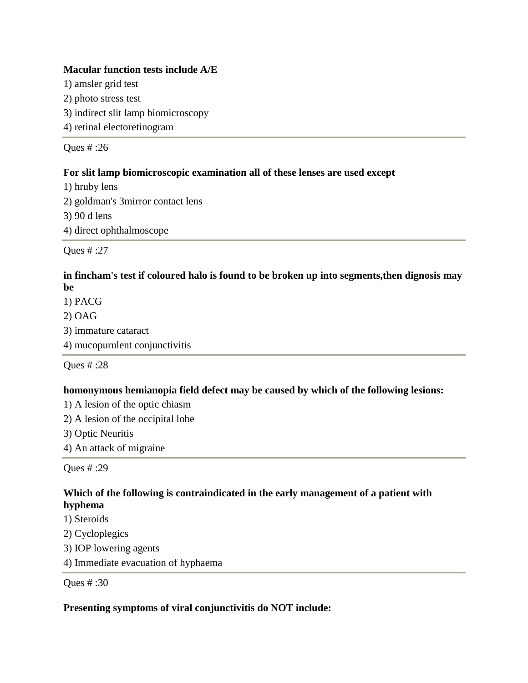#### **Macular function tests include A/E**

1) amsler grid test

2) photo stress test

3) indirect slit lamp biomicroscopy

4) retinal electoretinogram

Ques # :26

## **For slit lamp biomicroscopic examination all of these lenses are used except**

1) hruby lens 2) goldman's 3mirror contact lens 3) 90 d lens 4) direct ophthalmoscope

Ques # :27

## **in fincham's test if coloured halo is found to be broken up into segments,then dignosis may be**

1) PACG 2) OAG 3) immature cataract 4) mucopurulent conjunctivitis

Ques # :28

## **homonymous hemianopia field defect may be caused by which of the following lesions:**

1) A lesion of the optic chiasm

2) A lesion of the occipital lobe

3) Optic Neuritis

4) An attack of migraine

Ques # :29

## **Which of the following is contraindicated in the early management of a patient with hyphema**

- 1) Steroids
- 2) Cycloplegics
- 3) IOP lowering agents
- 4) Immediate evacuation of hyphaema

Ques # :30

#### **Presenting symptoms of viral conjunctivitis do NOT include:**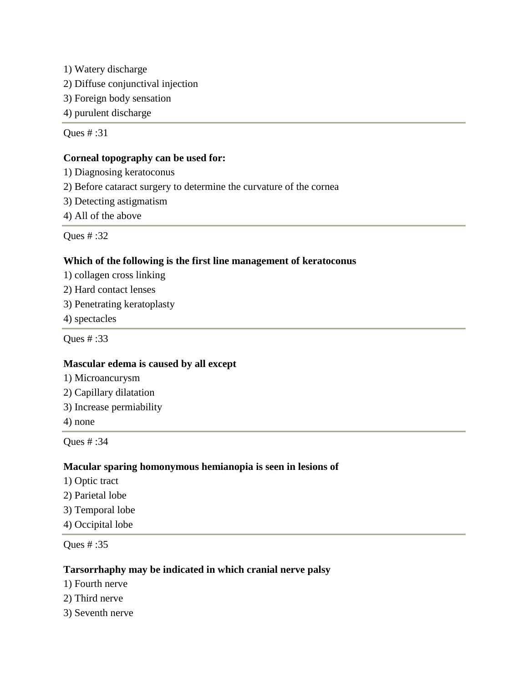1) Watery discharge

- 2) Diffuse conjunctival injection
- 3) Foreign body sensation
- 4) purulent discharge

Ques # :31

## **Corneal topography can be used for:**

- 1) Diagnosing keratoconus
- 2) Before cataract surgery to determine the curvature of the cornea
- 3) Detecting astigmatism
- 4) All of the above

Ques # :32

## **Which of the following is the first line management of keratoconus**

- 1) collagen cross linking
- 2) Hard contact lenses
- 3) Penetrating keratoplasty
- 4) spectacles

Ques # :33

#### **Mascular edema is caused by all except**

- 1) Microancurysm
- 2) Capillary dilatation
- 3) Increase permiability
- 4) none

Ques # :34

## **Macular sparing homonymous hemianopia is seen in lesions of**

- 1) Optic tract
- 2) Parietal lobe
- 3) Temporal lobe
- 4) Occipital lobe

Ques # :35

#### **Tarsorrhaphy may be indicated in which cranial nerve palsy**

- 1) Fourth nerve
- 2) Third nerve
- 3) Seventh nerve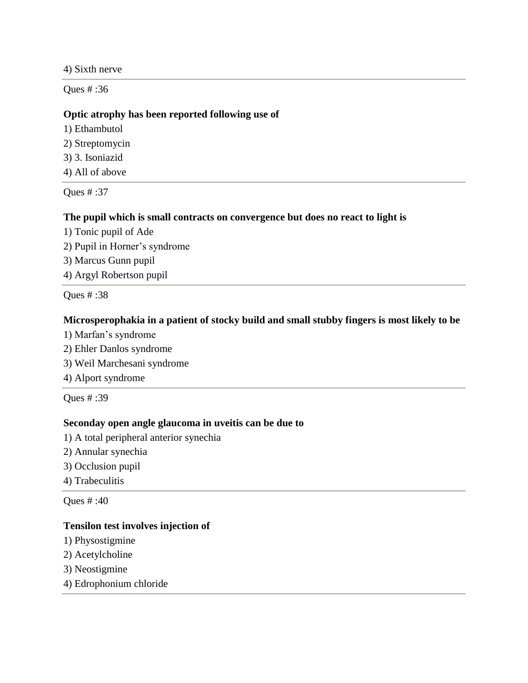4) Sixth nerve

Ques # :36

#### **Optic atrophy has been reported following use of**

- 1) Ethambutol
- 2) Streptomycin
- 3) 3. Isoniazid
- 4) All of above

Ques # :37

#### **The pupil which is small contracts on convergence but does no react to light is**

- 1) Tonic pupil of Ade
- 2) Pupil in Horner's syndrome
- 3) Marcus Gunn pupil
- 4) Argyl Robertson pupil

Ques # :38

#### **Microsperophakia in a patient of stocky build and small stubby fingers is most likely to be**

- 1) Marfan's syndrome
- 2) Ehler Danlos syndrome
- 3) Weil Marchesani syndrome
- 4) Alport syndrome

Ques # :39

## **Seconday open angle glaucoma in uveitis can be due to**

- 1) A total peripheral anterior synechia
- 2) Annular synechia
- 3) Occlusion pupil
- 4) Trabeculitis

Ques # :40

#### **Tensilon test involves injection of**

- 1) Physostigmine
- 2) Acetylcholine
- 3) Neostigmine
- 4) Edrophonium chloride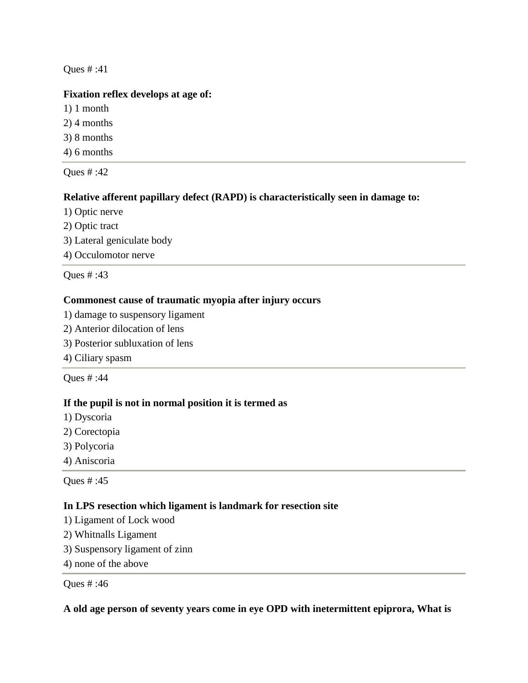## **Fixation reflex develops at age of:**

- 1) 1 month
- 2) 4 months
- 3) 8 months
- 4) 6 months

Ques # :42

## **Relative afferent papillary defect (RAPD) is characteristically seen in damage to:**

- 1) Optic nerve
- 2) Optic tract
- 3) Lateral geniculate body
- 4) Occulomotor nerve

Ques # :43

## **Commonest cause of traumatic myopia after injury occurs**

- 1) damage to suspensory ligament
- 2) Anterior dilocation of lens
- 3) Posterior subluxation of lens
- 4) Ciliary spasm

Ques # :44

## **If the pupil is not in normal position it is termed as**

- 1) Dyscoria
- 2) Corectopia
- 3) Polycoria
- 4) Aniscoria

Ques # :45

## **In LPS resection which ligament is landmark for resection site**

- 1) Ligament of Lock wood
- 2) Whitnalls Ligament
- 3) Suspensory ligament of zinn
- 4) none of the above

Ques # :46

## **A old age person of seventy years come in eye OPD with inetermittent epiprora, What is**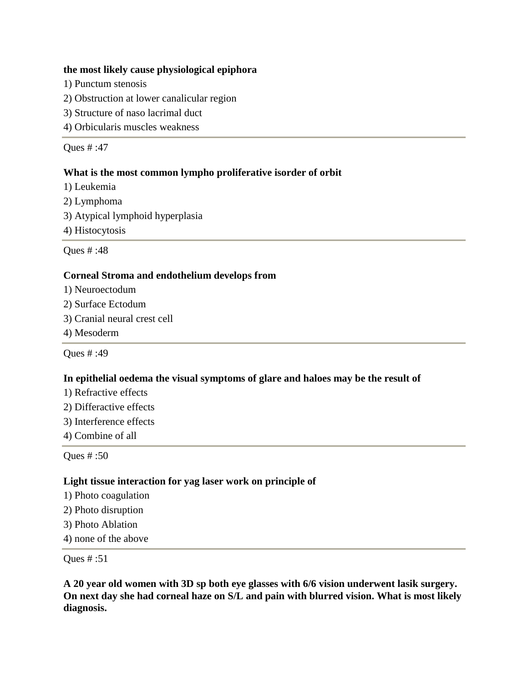#### **the most likely cause physiological epiphora**

- 1) Punctum stenosis
- 2) Obstruction at lower canalicular region
- 3) Structure of naso lacrimal duct
- 4) Orbicularis muscles weakness

Ques # :47

#### **What is the most common lympho proliferative isorder of orbit**

- 1) Leukemia
- 2) Lymphoma
- 3) Atypical lymphoid hyperplasia
- 4) Histocytosis

Ques # :48

#### **Corneal Stroma and endothelium develops from**

- 1) Neuroectodum
- 2) Surface Ectodum
- 3) Cranial neural crest cell
- 4) Mesoderm

Ques # :49

#### **In epithelial oedema the visual symptoms of glare and haloes may be the result of**

- 1) Refractive effects
- 2) Differactive effects
- 3) Interference effects
- 4) Combine of all

Ques # :50

#### **Light tissue interaction for yag laser work on principle of**

- 1) Photo coagulation
- 2) Photo disruption
- 3) Photo Ablation
- 4) none of the above

#### Ques # :51

**A 20 year old women with 3D sp both eye glasses with 6/6 vision underwent lasik surgery. On next day she had corneal haze on S/L and pain with blurred vision. What is most likely diagnosis.**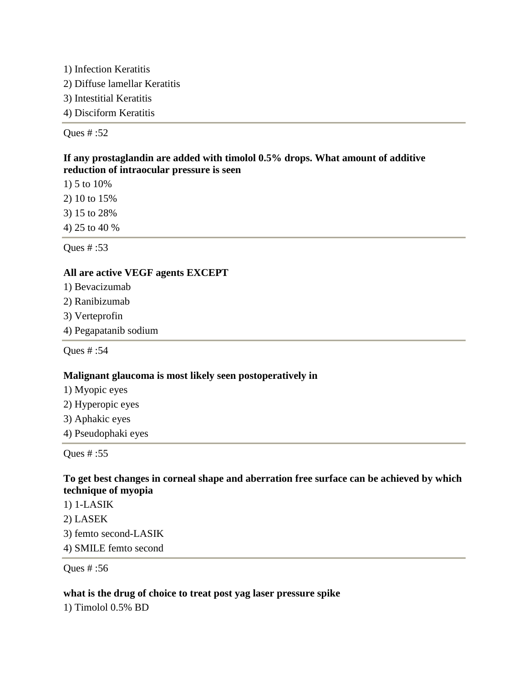1) Infection Keratitis 2) Diffuse lamellar Keratitis 3) Intestitial Keratitis 4) Disciform Keratitis

Ques # :52

## **If any prostaglandin are added with timolol 0.5% drops. What amount of additive reduction of intraocular pressure is seen**

1) 5 to 10%

2) 10 to 15%

3) 15 to 28%

4) 25 to 40 %

Ques # :53

## **All are active VEGF agents EXCEPT**

- 1) Bevacizumab
- 2) Ranibizumab
- 3) Verteprofin
- 4) Pegapatanib sodium

Ques # :54

## **Malignant glaucoma is most likely seen postoperatively in**

- 1) Myopic eyes
- 2) Hyperopic eyes
- 3) Aphakic eyes
- 4) Pseudophaki eyes

Ques # :55

## **To get best changes in corneal shape and aberration free surface can be achieved by which technique of myopia**

1) 1-LASIK 2) LASEK 3) femto second-LASIK 4) SMILE femto second

Ques # :56

## **what is the drug of choice to treat post yag laser pressure spike**

1) Timolol 0.5% BD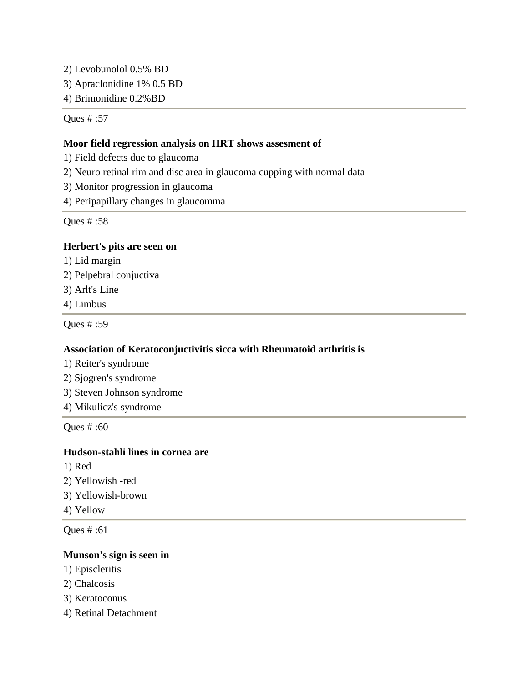2) Levobunolol 0.5% BD

3) Apraclonidine 1% 0.5 BD

4) Brimonidine 0.2%BD

Ques # :57

## **Moor field regression analysis on HRT shows assesment of**

- 1) Field defects due to glaucoma
- 2) Neuro retinal rim and disc area in glaucoma cupping with normal data
- 3) Monitor progression in glaucoma
- 4) Peripapillary changes in glaucomma

Ques # :58

## **Herbert's pits are seen on**

- 1) Lid margin
- 2) Pelpebral conjuctiva
- 3) Arlt's Line
- 4) Limbus

Ques # :59

## **Association of Keratoconjuctivitis sicca with Rheumatoid arthritis is**

- 1) Reiter's syndrome
- 2) Sjogren's syndrome
- 3) Steven Johnson syndrome
- 4) Mikulicz's syndrome

Ques # :60

## **Hudson-stahli lines in cornea are**

- 1) Red
- 2) Yellowish -red
- 3) Yellowish-brown
- 4) Yellow

Ques # :61

## **Munson's sign is seen in**

- 1) Episcleritis
- 2) Chalcosis
- 3) Keratoconus
- 4) Retinal Detachment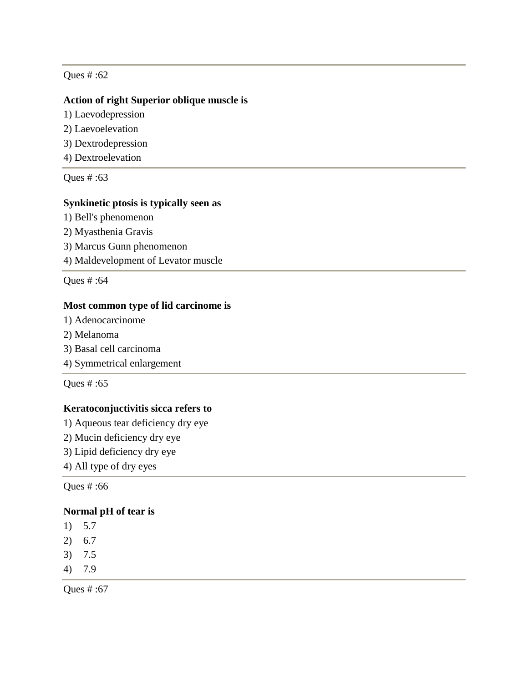#### **Action of right Superior oblique muscle is**

- 1) Laevodepression
- 2) Laevoelevation
- 3) Dextrodepression
- 4) Dextroelevation

Ques # :63

#### **Synkinetic ptosis is typically seen as**

- 1) Bell's phenomenon
- 2) Myasthenia Gravis
- 3) Marcus Gunn phenomenon
- 4) Maldevelopment of Levator muscle

Ques # :64

#### **Most common type of lid carcinome is**

- 1) Adenocarcinome
- 2) Melanoma
- 3) Basal cell carcinoma
- 4) Symmetrical enlargement

Ques # :65

## **Keratoconjuctivitis sicca refers to**

- 1) Aqueous tear deficiency dry eye
- 2) Mucin deficiency dry eye
- 3) Lipid deficiency dry eye
- 4) All type of dry eyes

Ques # :66

#### **Normal pH of tear is**

- 1) 5.7
- 2) 6.7
- 3) 7.5
- 4) 7.9

Ques # :67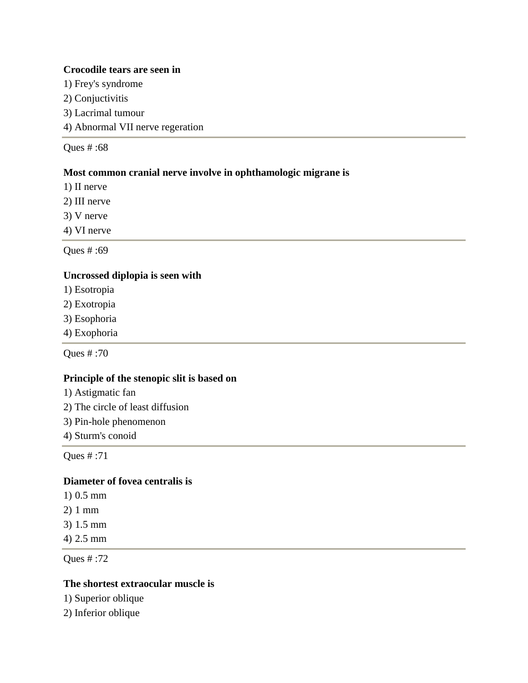#### **Crocodile tears are seen in**

- 1) Frey's syndrome
- 2) Conjuctivitis
- 3) Lacrimal tumour
- 4) Abnormal VII nerve regeration

Ques # :68

## **Most common cranial nerve involve in ophthamologic migrane is**

- 1) II nerve
- 2) III nerve
- 3) V nerve
- 4) VI nerve

Ques # :69

#### **Uncrossed diplopia is seen with**

- 1) Esotropia
- 2) Exotropia
- 3) Esophoria
- 4) Exophoria

Ques # :70

#### **Principle of the stenopic slit is based on**

- 1) Astigmatic fan
- 2) The circle of least diffusion
- 3) Pin-hole phenomenon
- 4) Sturm's conoid

Ques # :71

## **Diameter of fovea centralis is**

- 1) 0.5 mm
- 2) 1 mm
- 3) 1.5 mm
- 4) 2.5 mm

Ques # :72

#### **The shortest extraocular muscle is**

1) Superior oblique

2) Inferior oblique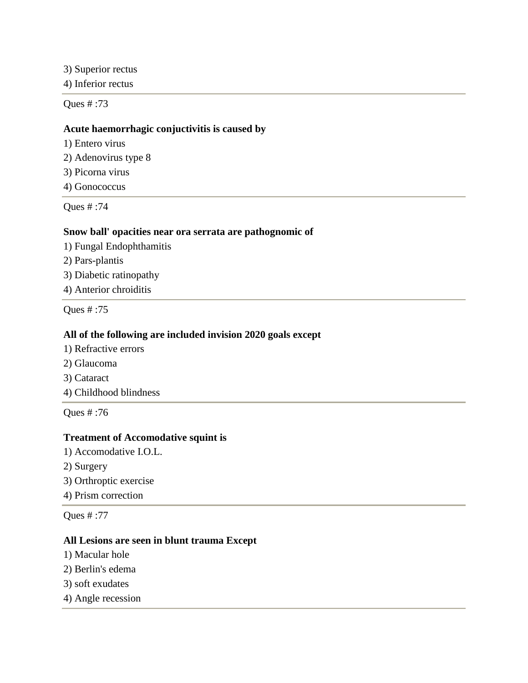3) Superior rectus

4) Inferior rectus

Ques # :73

#### **Acute haemorrhagic conjuctivitis is caused by**

- 1) Entero virus
- 2) Adenovirus type 8
- 3) Picorna virus
- 4) Gonococcus

Ques # :74

#### **Snow ball' opacities near ora serrata are pathognomic of**

- 1) Fungal Endophthamitis
- 2) Pars-plantis
- 3) Diabetic ratinopathy
- 4) Anterior chroiditis

Ques # :75

#### **All of the following are included invision 2020 goals except**

- 1) Refractive errors
- 2) Glaucoma
- 3) Cataract
- 4) Childhood blindness

Ques # :76

## **Treatment of Accomodative squint is**

- 1) Accomodative I.O.L.
- 2) Surgery
- 3) Orthroptic exercise
- 4) Prism correction

Ques # :77

## **All Lesions are seen in blunt trauma Except**

- 1) Macular hole
- 2) Berlin's edema
- 3) soft exudates
- 4) Angle recession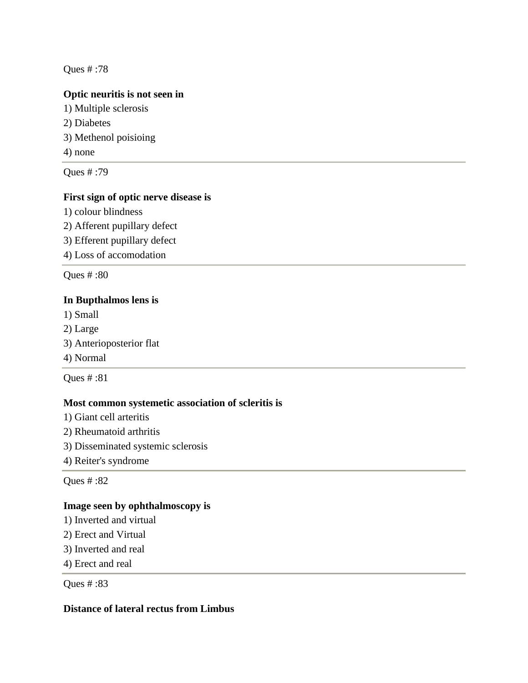## **Optic neuritis is not seen in**

1) Multiple sclerosis 2) Diabetes 3) Methenol poisioing 4) none

Ques # :79

## **First sign of optic nerve disease is**

1) colour blindness

2) Afferent pupillary defect 3) Efferent pupillary defect

4) Loss of accomodation

Ques # :80

#### **In Bupthalmos lens is**

1) Small

- 2) Large
- 3) Anterioposterior flat
- 4) Normal

Ques # :81

#### **Most common systemetic association of scleritis is**

- 1) Giant cell arteritis
- 2) Rheumatoid arthritis
- 3) Disseminated systemic sclerosis
- 4) Reiter's syndrome

Ques # :82

#### **Image seen by ophthalmoscopy is**

- 1) Inverted and virtual
- 2) Erect and Virtual
- 3) Inverted and real
- 4) Erect and real

Ques # :83

## **Distance of lateral rectus from Limbus**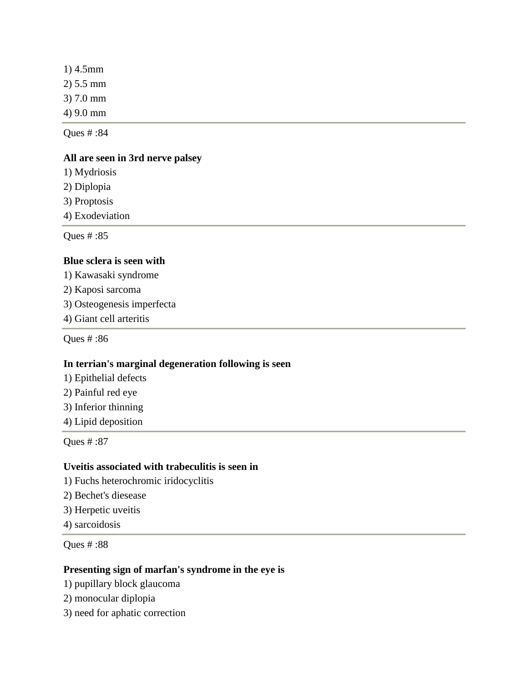| $1)$ 4.5mm |  |
|------------|--|
| 2) 5.5 mm  |  |
| 3) 7.0 mm  |  |
| 4) 9.0 mm  |  |
|            |  |

## **All are seen in 3rd nerve palsey**

1) Mydriosis

2) Diplopia

3) Proptosis

4) Exodeviation

Ques # :85

#### **Blue sclera is seen with**

1) Kawasaki syndrome

- 2) Kaposi sarcoma
- 3) Osteogenesis imperfecta
- 4) Giant cell arteritis

Ques # :86

#### **In terrian's marginal degeneration following is seen**

- 1) Epithelial defects
- 2) Painful red eye
- 3) Inferior thinning
- 4) Lipid deposition

Ques # :87

#### **Uveitis associated with trabeculitis is seen in**

- 1) Fuchs heterochromic iridocyclitis
- 2) Bechet's diesease
- 3) Herpetic uveitis
- 4) sarcoidosis

Ques # :88

#### **Presenting sign of marfan's syndrome in the eye is**

- 1) pupillary block glaucoma
- 2) monocular diplopia
- 3) need for aphatic correction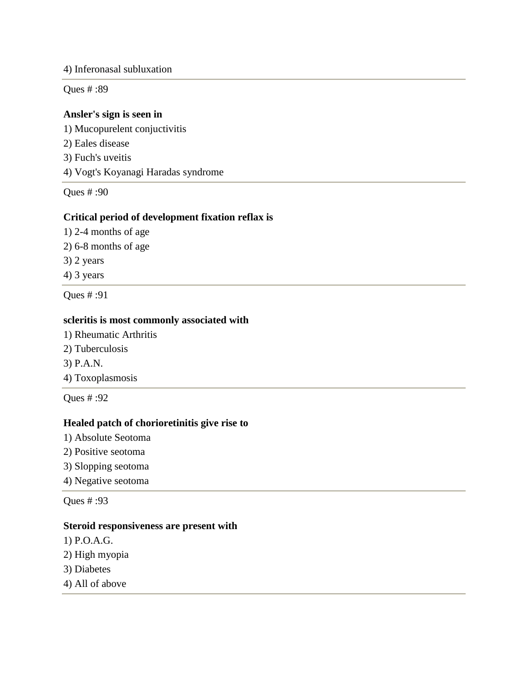#### 4) Inferonasal subluxation

Ques # :89

## **Ansler's sign is seen in**

1) Mucopurelent conjuctivitis 2) Eales disease 3) Fuch's uveitis 4) Vogt's Koyanagi Haradas syndrome Ques # :90

# **Critical period of development fixation reflax is**

- 1) 2-4 months of age
- 2) 6-8 months of age
- 3) 2 years

4) 3 years

Ques # :91

## **scleritis is most commonly associated with**

- 1) Rheumatic Arthritis
- 2) Tuberculosis
- 3) P.A.N.
- 4) Toxoplasmosis

Ques # :92

## **Healed patch of chorioretinitis give rise to**

- 1) Absolute Seotoma
- 2) Positive seotoma
- 3) Slopping seotoma
- 4) Negative seotoma

Ques # :93

#### **Steroid responsiveness are present with**

- 1) P.O.A.G.
- 2) High myopia
- 3) Diabetes
- 4) All of above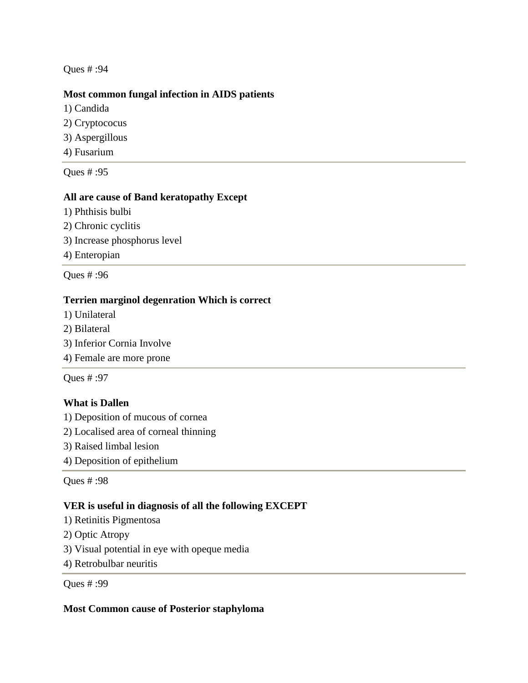## **Most common fungal infection in AIDS patients**

- 1) Candida
- 2) Cryptococus
- 3) Aspergillous
- 4) Fusarium

Ques # :95

## **All are cause of Band keratopathy Except**

- 1) Phthisis bulbi
- 2) Chronic cyclitis
- 3) Increase phosphorus level
- 4) Enteropian

Ques # :96

## **Terrien marginol degenration Which is correct**

- 1) Unilateral
- 2) Bilateral
- 3) Inferior Cornia Involve
- 4) Female are more prone

Ques # :97

## **What is Dallen**

1) Deposition of mucous of cornea

- 2) Localised area of corneal thinning
- 3) Raised limbal lesion
- 4) Deposition of epithelium

Ques # :98

#### **VER is useful in diagnosis of all the following EXCEPT**

- 1) Retinitis Pigmentosa
- 2) Optic Atropy
- 3) Visual potential in eye with opeque media
- 4) Retrobulbar neuritis

Ques # :99

#### **Most Common cause of Posterior staphyloma**